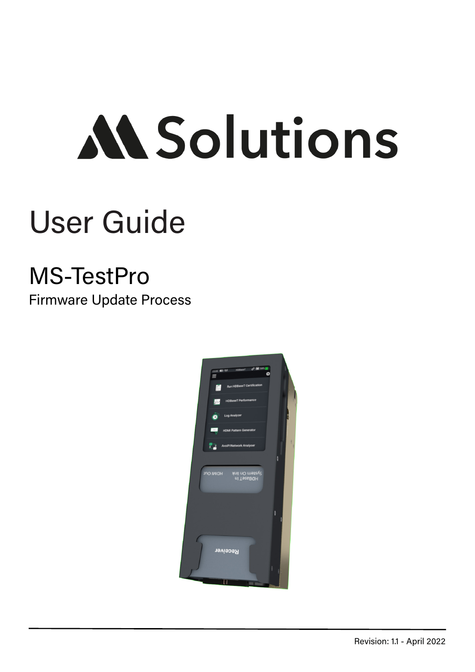# **MSolutions**

### User Guide

#### MS-TestPro

Firmware Update Process

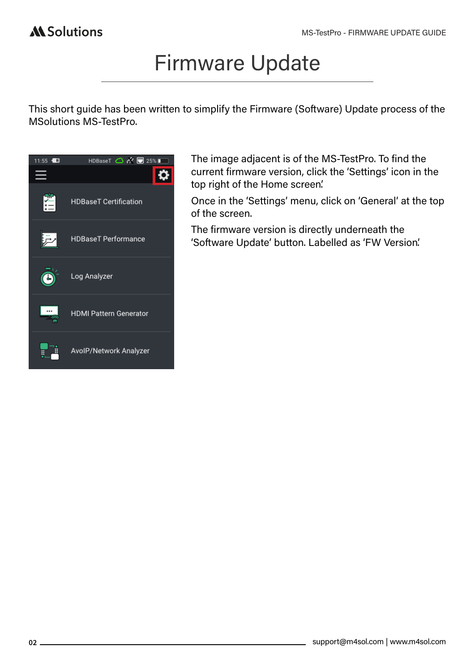#### Firmware Update

This short guide has been written to simplify the Firmware (Software) Update process of the MSolutions MS-TestPro.



The image adjacent is of the MS-TestPro. To find the current firmware version, click the 'Settings' icon in the top right of the Home screen'.

Once in the 'Settings' menu, click on 'General' at the top of the screen.

The firmware version is directly underneath the 'Software Update' button. Labelled as 'FW Version'.